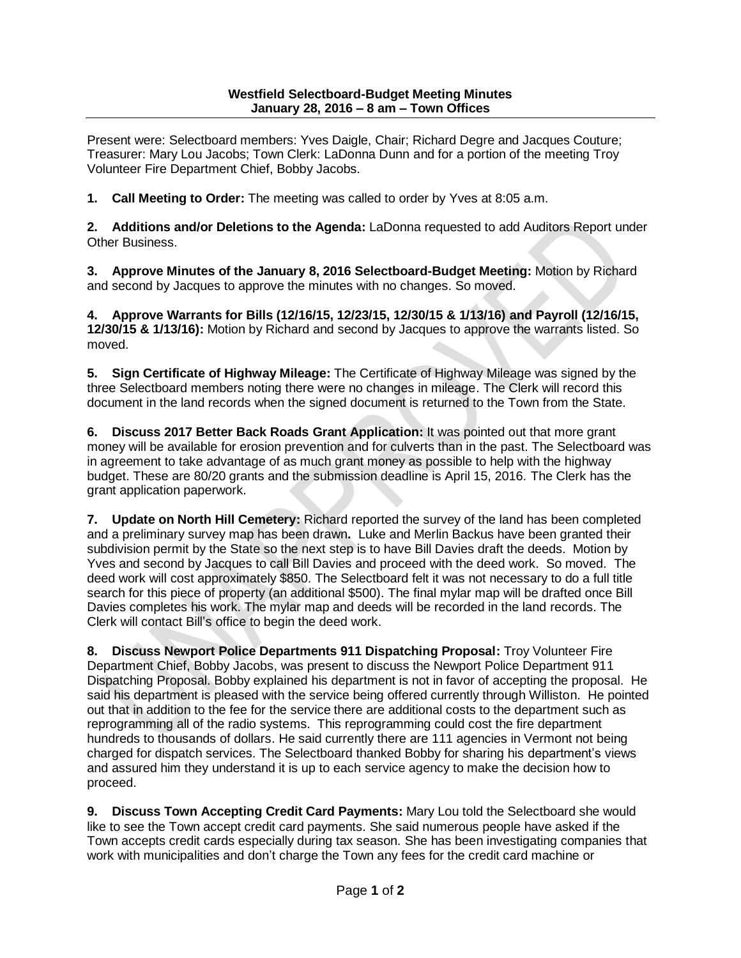Present were: Selectboard members: Yves Daigle, Chair; Richard Degre and Jacques Couture; Treasurer: Mary Lou Jacobs; Town Clerk: LaDonna Dunn and for a portion of the meeting Troy Volunteer Fire Department Chief, Bobby Jacobs.

**1. Call Meeting to Order:** The meeting was called to order by Yves at 8:05 a.m.

**2. Additions and/or Deletions to the Agenda:** LaDonna requested to add Auditors Report under Other Business.

**3. Approve Minutes of the January 8, 2016 Selectboard-Budget Meeting:** Motion by Richard and second by Jacques to approve the minutes with no changes. So moved.

**4. Approve Warrants for Bills (12/16/15, 12/23/15, 12/30/15 & 1/13/16) and Payroll (12/16/15, 12/30/15 & 1/13/16):** Motion by Richard and second by Jacques to approve the warrants listed. So moved.

**5. Sign Certificate of Highway Mileage:** The Certificate of Highway Mileage was signed by the three Selectboard members noting there were no changes in mileage. The Clerk will record this document in the land records when the signed document is returned to the Town from the State.

**6. Discuss 2017 Better Back Roads Grant Application:** It was pointed out that more grant money will be available for erosion prevention and for culverts than in the past. The Selectboard was in agreement to take advantage of as much grant money as possible to help with the highway budget. These are 80/20 grants and the submission deadline is April 15, 2016. The Clerk has the grant application paperwork.

**7. Update on North Hill Cemetery:** Richard reported the survey of the land has been completed and a preliminary survey map has been drawn**.** Luke and Merlin Backus have been granted their subdivision permit by the State so the next step is to have Bill Davies draft the deeds. Motion by Yves and second by Jacques to call Bill Davies and proceed with the deed work. So moved. The deed work will cost approximately \$850. The Selectboard felt it was not necessary to do a full title search for this piece of property (an additional \$500). The final mylar map will be drafted once Bill Davies completes his work. The mylar map and deeds will be recorded in the land records. The Clerk will contact Bill's office to begin the deed work.

**8. Discuss Newport Police Departments 911 Dispatching Proposal:** Troy Volunteer Fire Department Chief, Bobby Jacobs, was present to discuss the Newport Police Department 911 Dispatching Proposal. Bobby explained his department is not in favor of accepting the proposal. He said his department is pleased with the service being offered currently through Williston. He pointed out that in addition to the fee for the service there are additional costs to the department such as reprogramming all of the radio systems. This reprogramming could cost the fire department hundreds to thousands of dollars. He said currently there are 111 agencies in Vermont not being charged for dispatch services. The Selectboard thanked Bobby for sharing his department's views and assured him they understand it is up to each service agency to make the decision how to proceed.

**9. Discuss Town Accepting Credit Card Payments:** Mary Lou told the Selectboard she would like to see the Town accept credit card payments. She said numerous people have asked if the Town accepts credit cards especially during tax season. She has been investigating companies that work with municipalities and don't charge the Town any fees for the credit card machine or